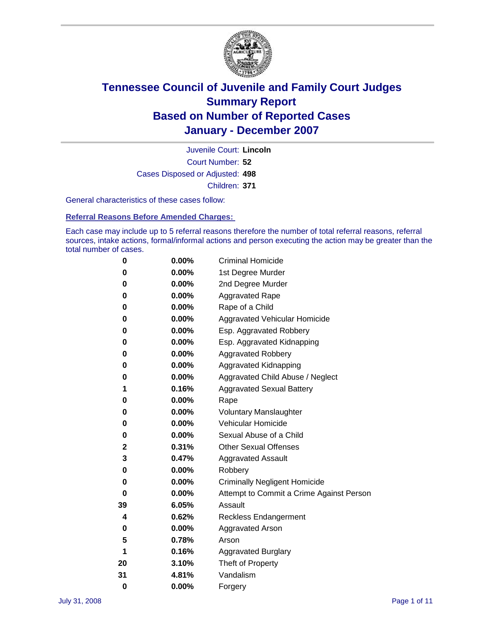

Court Number: **52** Juvenile Court: **Lincoln** Cases Disposed or Adjusted: **498** Children: **371**

General characteristics of these cases follow:

**Referral Reasons Before Amended Charges:** 

Each case may include up to 5 referral reasons therefore the number of total referral reasons, referral sources, intake actions, formal/informal actions and person executing the action may be greater than the total number of cases.

| 0        | 0.00%    | <b>Criminal Homicide</b>                 |  |  |  |
|----------|----------|------------------------------------------|--|--|--|
| 0        | 0.00%    | 1st Degree Murder                        |  |  |  |
| 0        | $0.00\%$ | 2nd Degree Murder                        |  |  |  |
| 0        | 0.00%    | <b>Aggravated Rape</b>                   |  |  |  |
| 0        | 0.00%    | Rape of a Child                          |  |  |  |
| 0        | 0.00%    | Aggravated Vehicular Homicide            |  |  |  |
| 0        | 0.00%    | Esp. Aggravated Robbery                  |  |  |  |
| 0        | 0.00%    | Esp. Aggravated Kidnapping               |  |  |  |
| 0        | 0.00%    | <b>Aggravated Robbery</b>                |  |  |  |
| 0        | 0.00%    | Aggravated Kidnapping                    |  |  |  |
| 0        | 0.00%    | Aggravated Child Abuse / Neglect         |  |  |  |
| 1        | 0.16%    | <b>Aggravated Sexual Battery</b>         |  |  |  |
| 0        | 0.00%    | Rape                                     |  |  |  |
| 0        | 0.00%    | <b>Voluntary Manslaughter</b>            |  |  |  |
| 0        | 0.00%    | Vehicular Homicide                       |  |  |  |
| 0        | 0.00%    | Sexual Abuse of a Child                  |  |  |  |
| 2        | 0.31%    | <b>Other Sexual Offenses</b>             |  |  |  |
| 3        | 0.47%    | <b>Aggravated Assault</b>                |  |  |  |
| 0        | $0.00\%$ | Robbery                                  |  |  |  |
| 0        | 0.00%    | <b>Criminally Negligent Homicide</b>     |  |  |  |
| 0        | 0.00%    | Attempt to Commit a Crime Against Person |  |  |  |
| 39       | 6.05%    | Assault                                  |  |  |  |
| 4        | 0.62%    | <b>Reckless Endangerment</b>             |  |  |  |
| 0        | $0.00\%$ | <b>Aggravated Arson</b>                  |  |  |  |
| 5        | 0.78%    | Arson                                    |  |  |  |
| 1        | 0.16%    | <b>Aggravated Burglary</b>               |  |  |  |
| 20       | 3.10%    | Theft of Property                        |  |  |  |
| 31       | 4.81%    | Vandalism                                |  |  |  |
| $\bf{0}$ | 0.00%    | Forgery                                  |  |  |  |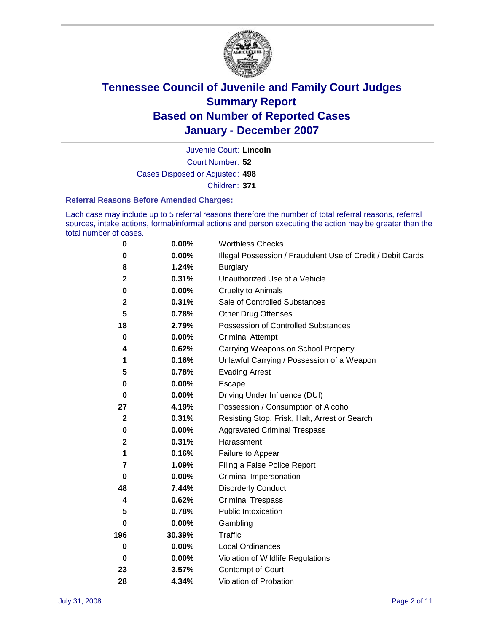

Court Number: **52** Juvenile Court: **Lincoln** Cases Disposed or Adjusted: **498** Children: **371**

#### **Referral Reasons Before Amended Charges:**

Each case may include up to 5 referral reasons therefore the number of total referral reasons, referral sources, intake actions, formal/informal actions and person executing the action may be greater than the total number of cases.

| 0            | 0.00%    | <b>Worthless Checks</b>                                     |
|--------------|----------|-------------------------------------------------------------|
| 0            | 0.00%    | Illegal Possession / Fraudulent Use of Credit / Debit Cards |
| 8            | 1.24%    | <b>Burglary</b>                                             |
| $\mathbf 2$  | 0.31%    | Unauthorized Use of a Vehicle                               |
| 0            | 0.00%    | <b>Cruelty to Animals</b>                                   |
| $\mathbf 2$  | 0.31%    | Sale of Controlled Substances                               |
| 5            | 0.78%    | <b>Other Drug Offenses</b>                                  |
| 18           | 2.79%    | Possession of Controlled Substances                         |
| $\mathbf 0$  | 0.00%    | <b>Criminal Attempt</b>                                     |
| 4            | 0.62%    | Carrying Weapons on School Property                         |
| 1            | 0.16%    | Unlawful Carrying / Possession of a Weapon                  |
| 5            | 0.78%    | <b>Evading Arrest</b>                                       |
| 0            | 0.00%    | Escape                                                      |
| $\bf{0}$     | 0.00%    | Driving Under Influence (DUI)                               |
| 27           | 4.19%    | Possession / Consumption of Alcohol                         |
| $\mathbf{2}$ | 0.31%    | Resisting Stop, Frisk, Halt, Arrest or Search               |
| 0            | $0.00\%$ | <b>Aggravated Criminal Trespass</b>                         |
| $\mathbf 2$  | 0.31%    | Harassment                                                  |
| 1            | 0.16%    | Failure to Appear                                           |
| 7            | 1.09%    | Filing a False Police Report                                |
| 0            | 0.00%    | Criminal Impersonation                                      |
| 48           | 7.44%    | <b>Disorderly Conduct</b>                                   |
| 4            | 0.62%    | <b>Criminal Trespass</b>                                    |
| 5            | 0.78%    | <b>Public Intoxication</b>                                  |
| 0            | 0.00%    | Gambling                                                    |
| 196          | 30.39%   | Traffic                                                     |
| $\mathbf 0$  | $0.00\%$ | <b>Local Ordinances</b>                                     |
| 0            | $0.00\%$ | Violation of Wildlife Regulations                           |
| 23           | 3.57%    | Contempt of Court                                           |
| 28           | 4.34%    | Violation of Probation                                      |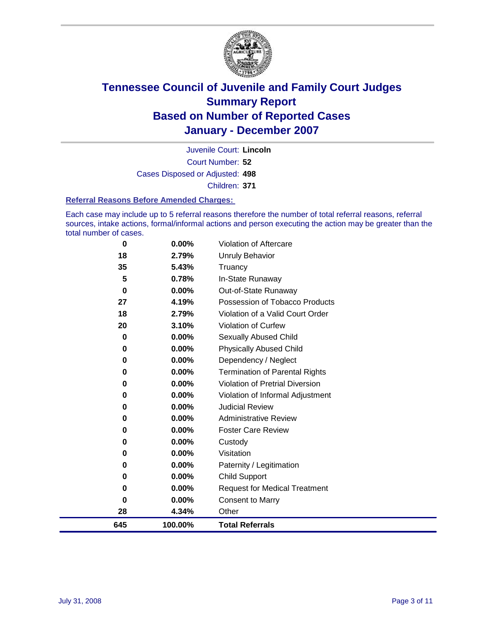

Court Number: **52** Juvenile Court: **Lincoln** Cases Disposed or Adjusted: **498** Children: **371**

#### **Referral Reasons Before Amended Charges:**

Each case may include up to 5 referral reasons therefore the number of total referral reasons, referral sources, intake actions, formal/informal actions and person executing the action may be greater than the total number of cases.

| 0        | 0.00%   | <b>Violation of Aftercare</b>          |
|----------|---------|----------------------------------------|
| 18       | 2.79%   | <b>Unruly Behavior</b>                 |
| 35       | 5.43%   | Truancy                                |
| 5        | 0.78%   | In-State Runaway                       |
| $\bf{0}$ | 0.00%   | Out-of-State Runaway                   |
| 27       | 4.19%   | Possession of Tobacco Products         |
| 18       | 2.79%   | Violation of a Valid Court Order       |
| 20       | 3.10%   | Violation of Curfew                    |
| 0        | 0.00%   | Sexually Abused Child                  |
| 0        | 0.00%   | <b>Physically Abused Child</b>         |
| 0        | 0.00%   | Dependency / Neglect                   |
| 0        | 0.00%   | <b>Termination of Parental Rights</b>  |
| 0        | 0.00%   | <b>Violation of Pretrial Diversion</b> |
| 0        | 0.00%   | Violation of Informal Adjustment       |
| 0        | 0.00%   | <b>Judicial Review</b>                 |
| 0        | 0.00%   | <b>Administrative Review</b>           |
| 0        | 0.00%   | <b>Foster Care Review</b>              |
| 0        | 0.00%   | Custody                                |
| 0        | 0.00%   | Visitation                             |
| 0        | 0.00%   | Paternity / Legitimation               |
| 0        | 0.00%   | Child Support                          |
| 0        | 0.00%   | <b>Request for Medical Treatment</b>   |
| 0        | 0.00%   | <b>Consent to Marry</b>                |
| 28       | 4.34%   | Other                                  |
| 645      | 100.00% | <b>Total Referrals</b>                 |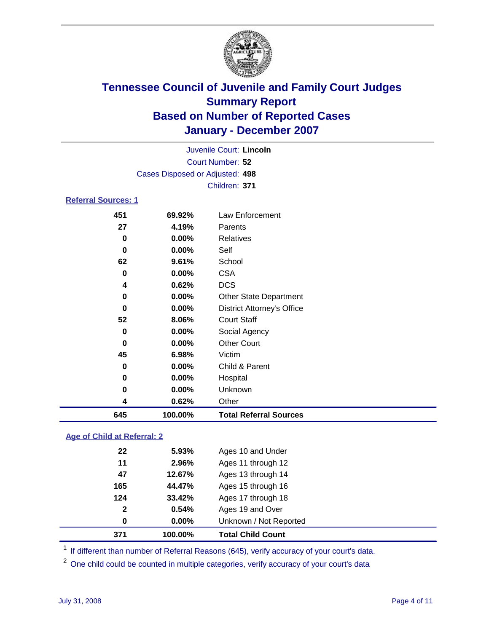

| Juvenile Court: Lincoln         |  |
|---------------------------------|--|
| Court Number: 52                |  |
| Cases Disposed or Adjusted: 498 |  |
| Children: 371                   |  |
| <b>Referral Sources: 1</b>      |  |

| 645      | 100.00%   | <b>Total Referral Sources</b>     |                 |
|----------|-----------|-----------------------------------|-----------------|
| 4        | 0.62%     | Other                             |                 |
| 0        | 0.00%     | Unknown                           |                 |
| 0        | 0.00%     | Hospital                          |                 |
| 0        | 0.00%     | Child & Parent                    |                 |
| 45       | 6.98%     | Victim                            |                 |
| 0        | 0.00%     | <b>Other Court</b>                |                 |
| 0        | 0.00%     | Social Agency                     |                 |
| 52       | 8.06%     | <b>Court Staff</b>                |                 |
| 0        | 0.00%     | <b>District Attorney's Office</b> |                 |
| 0        | 0.00%     | <b>Other State Department</b>     |                 |
| 4        | 0.62%     | <b>DCS</b>                        |                 |
| $\bf{0}$ | 0.00%     | <b>CSA</b>                        |                 |
| 62       | 9.61%     | School                            |                 |
| 0        | 0.00%     | Self                              |                 |
| 0        |           | Relatives                         |                 |
|          |           | Parents                           |                 |
|          | 69.92%    |                                   |                 |
|          | 451<br>27 | 4.19%<br>0.00%                    | Law Enforcement |

### **Age of Child at Referral: 2**

| 371          | 100.00%  | <b>Total Child Count</b> |  |
|--------------|----------|--------------------------|--|
| 0            | $0.00\%$ | Unknown / Not Reported   |  |
| $\mathbf{2}$ | 0.54%    | Ages 19 and Over         |  |
| 124          | 33.42%   | Ages 17 through 18       |  |
| 165          | 44.47%   | Ages 15 through 16       |  |
| 47           | 12.67%   | Ages 13 through 14       |  |
| 11           | 2.96%    | Ages 11 through 12       |  |
| 22           | 5.93%    | Ages 10 and Under        |  |
|              |          |                          |  |

<sup>1</sup> If different than number of Referral Reasons (645), verify accuracy of your court's data.

One child could be counted in multiple categories, verify accuracy of your court's data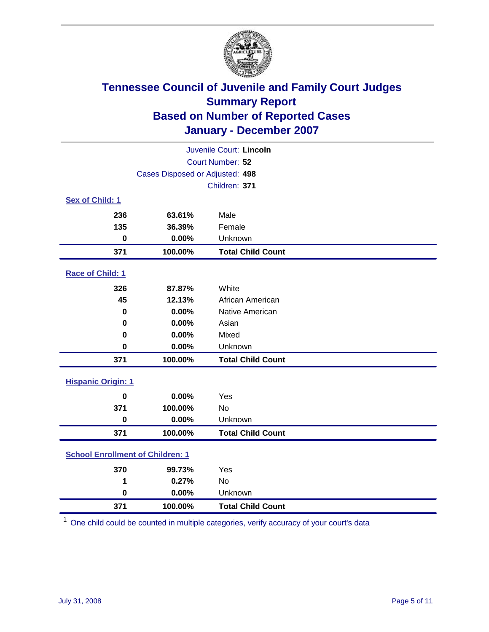

| Juvenile Court: Lincoln                 |                                 |                          |  |  |  |
|-----------------------------------------|---------------------------------|--------------------------|--|--|--|
| Court Number: 52                        |                                 |                          |  |  |  |
|                                         | Cases Disposed or Adjusted: 498 |                          |  |  |  |
|                                         |                                 | Children: 371            |  |  |  |
| Sex of Child: 1                         |                                 |                          |  |  |  |
| 236                                     | 63.61%                          | Male                     |  |  |  |
| 135                                     | 36.39%                          | Female                   |  |  |  |
| $\bf{0}$                                | 0.00%                           | Unknown                  |  |  |  |
| 371                                     | 100.00%                         | <b>Total Child Count</b> |  |  |  |
| <b>Race of Child: 1</b>                 |                                 |                          |  |  |  |
| 326                                     | 87.87%                          | White                    |  |  |  |
| 45                                      | 12.13%                          | African American         |  |  |  |
| 0                                       | 0.00%                           | Native American          |  |  |  |
| 0                                       | 0.00%                           | Asian                    |  |  |  |
| 0                                       | 0.00%                           | Mixed                    |  |  |  |
| $\bf{0}$                                | 0.00%                           | Unknown                  |  |  |  |
| 371                                     | 100.00%                         | <b>Total Child Count</b> |  |  |  |
| <b>Hispanic Origin: 1</b>               |                                 |                          |  |  |  |
| $\bf{0}$                                | 0.00%                           | Yes                      |  |  |  |
| 371                                     | 100.00%                         | <b>No</b>                |  |  |  |
| $\mathbf 0$                             | 0.00%                           | Unknown                  |  |  |  |
| 371                                     | 100.00%                         | <b>Total Child Count</b> |  |  |  |
| <b>School Enrollment of Children: 1</b> |                                 |                          |  |  |  |
| 370                                     | 99.73%                          | Yes                      |  |  |  |
| 1                                       | 0.27%                           | No                       |  |  |  |
| $\bf{0}$                                | 0.00%                           | Unknown                  |  |  |  |
| 371                                     | 100.00%                         | <b>Total Child Count</b> |  |  |  |

One child could be counted in multiple categories, verify accuracy of your court's data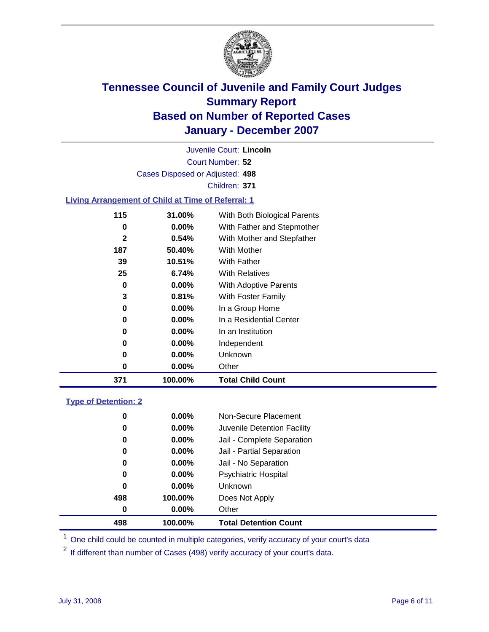

Court Number: **52** Juvenile Court: **Lincoln** Cases Disposed or Adjusted: **498** Children: **371**

#### **Living Arrangement of Child at Time of Referral: 1**

| 371 | 100.00%  | <b>Total Child Count</b>     |
|-----|----------|------------------------------|
| 0   | $0.00\%$ | Other                        |
| 0   | $0.00\%$ | Unknown                      |
| 0   | $0.00\%$ | Independent                  |
| 0   | $0.00\%$ | In an Institution            |
| 0   | $0.00\%$ | In a Residential Center      |
| 0   | $0.00\%$ | In a Group Home              |
| 3   | 0.81%    | With Foster Family           |
| 0   | $0.00\%$ | With Adoptive Parents        |
| 25  | 6.74%    | <b>With Relatives</b>        |
| 39  | 10.51%   | With Father                  |
| 187 | 50.40%   | <b>With Mother</b>           |
| 2   | 0.54%    | With Mother and Stepfather   |
| 0   | $0.00\%$ | With Father and Stepmother   |
| 115 | 31.00%   | With Both Biological Parents |
|     |          |                              |

#### **Type of Detention: 2**

| 498 | 100.00%  | <b>Total Detention Count</b> |  |
|-----|----------|------------------------------|--|
| 0   | $0.00\%$ | Other                        |  |
| 498 | 100.00%  | Does Not Apply               |  |
| 0   | $0.00\%$ | <b>Unknown</b>               |  |
| 0   | $0.00\%$ | <b>Psychiatric Hospital</b>  |  |
| 0   | 0.00%    | Jail - No Separation         |  |
| 0   | $0.00\%$ | Jail - Partial Separation    |  |
| 0   | $0.00\%$ | Jail - Complete Separation   |  |
| 0   | 0.00%    | Juvenile Detention Facility  |  |
| 0   | $0.00\%$ | Non-Secure Placement         |  |
|     |          |                              |  |

<sup>1</sup> One child could be counted in multiple categories, verify accuracy of your court's data

<sup>2</sup> If different than number of Cases (498) verify accuracy of your court's data.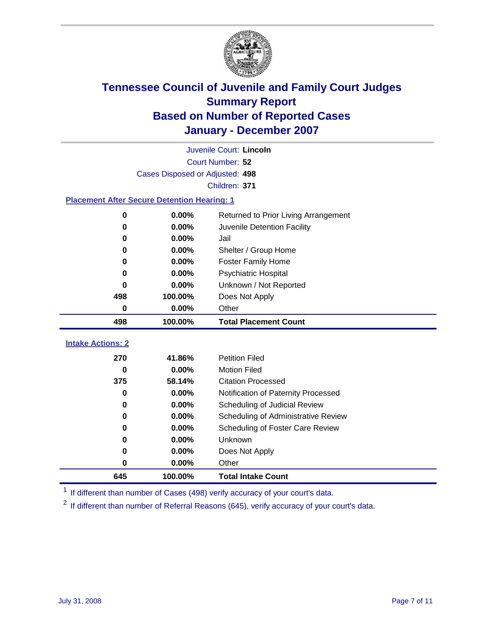

|                                                    | Juvenile Court: Lincoln         |                                      |  |  |  |
|----------------------------------------------------|---------------------------------|--------------------------------------|--|--|--|
|                                                    | Court Number: 52                |                                      |  |  |  |
|                                                    | Cases Disposed or Adjusted: 498 |                                      |  |  |  |
| Children: 371                                      |                                 |                                      |  |  |  |
| <b>Placement After Secure Detention Hearing: 1</b> |                                 |                                      |  |  |  |
| $\bf{0}$                                           | 0.00%                           | Returned to Prior Living Arrangement |  |  |  |
| $\bf{0}$                                           | 0.00%                           | Juvenile Detention Facility          |  |  |  |
| 0                                                  | 0.00%                           | Jail                                 |  |  |  |
| 0                                                  | 0.00%                           | Shelter / Group Home                 |  |  |  |
| $\bf{0}$                                           | 0.00%                           | <b>Foster Family Home</b>            |  |  |  |
| 0                                                  | 0.00%                           | Psychiatric Hospital                 |  |  |  |
| 0                                                  | 0.00%                           | Unknown / Not Reported               |  |  |  |
| 498                                                | 100.00%                         | Does Not Apply                       |  |  |  |
| 0                                                  | 0.00%                           | Other                                |  |  |  |
| 498                                                | 100.00%                         | <b>Total Placement Count</b>         |  |  |  |
|                                                    |                                 |                                      |  |  |  |
| <b>Intake Actions: 2</b>                           |                                 |                                      |  |  |  |
| 270                                                | 41.86%                          | <b>Petition Filed</b>                |  |  |  |
| 0                                                  | 0.00%                           | <b>Motion Filed</b>                  |  |  |  |
| 375                                                | 58.14%                          | <b>Citation Processed</b>            |  |  |  |
| 0                                                  | 0.00%                           | Notification of Paternity Processed  |  |  |  |
| 0                                                  | 0.00%                           | Scheduling of Judicial Review        |  |  |  |
| 0                                                  | 0.00%                           | Scheduling of Administrative Review  |  |  |  |
| 0                                                  | 0.00%                           | Scheduling of Foster Care Review     |  |  |  |
| 0                                                  | 0.00%                           | Unknown                              |  |  |  |
| 0                                                  | 0.00%                           | Does Not Apply                       |  |  |  |
| 0                                                  | 0.00%                           | Other                                |  |  |  |
| 645                                                | 100.00%                         | <b>Total Intake Count</b>            |  |  |  |

<sup>1</sup> If different than number of Cases (498) verify accuracy of your court's data.

<sup>2</sup> If different than number of Referral Reasons (645), verify accuracy of your court's data.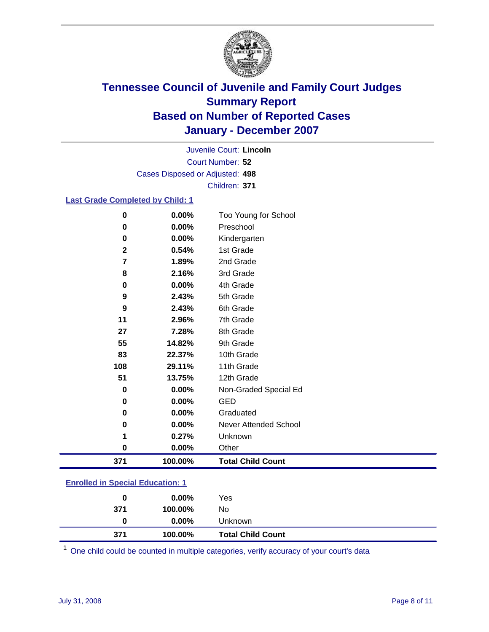

Court Number: **52** Juvenile Court: **Lincoln** Cases Disposed or Adjusted: **498** Children: **371**

### **Last Grade Completed by Child: 1**

| 0            | 0.00%   | Too Young for School     |
|--------------|---------|--------------------------|
| 0            | 0.00%   | Preschool                |
| 0            | 0.00%   | Kindergarten             |
| $\mathbf{2}$ | 0.54%   | 1st Grade                |
| 7            | 1.89%   | 2nd Grade                |
| 8            | 2.16%   | 3rd Grade                |
| 0            | 0.00%   | 4th Grade                |
| 9            | 2.43%   | 5th Grade                |
| 9            | 2.43%   | 6th Grade                |
| 11           | 2.96%   | 7th Grade                |
| 27           | 7.28%   | 8th Grade                |
| 55           | 14.82%  | 9th Grade                |
| 83           | 22.37%  | 10th Grade               |
| 108          | 29.11%  | 11th Grade               |
| 51           | 13.75%  | 12th Grade               |
| 0            | 0.00%   | Non-Graded Special Ed    |
| 0            | 0.00%   | <b>GED</b>               |
| 0            | 0.00%   | Graduated                |
| 0            | 0.00%   | Never Attended School    |
| 1            | 0.27%   | Unknown                  |
| 0            | 0.00%   | Other                    |
| 371          | 100.00% | <b>Total Child Count</b> |

### **Enrolled in Special Education: 1**

| 0        | $0.00\%$            | Yes                      |
|----------|---------------------|--------------------------|
| 371<br>0 | 100.00%<br>$0.00\%$ | No<br>Unknown            |
| 371      | 100.00%             | <b>Total Child Count</b> |

<sup>1</sup> One child could be counted in multiple categories, verify accuracy of your court's data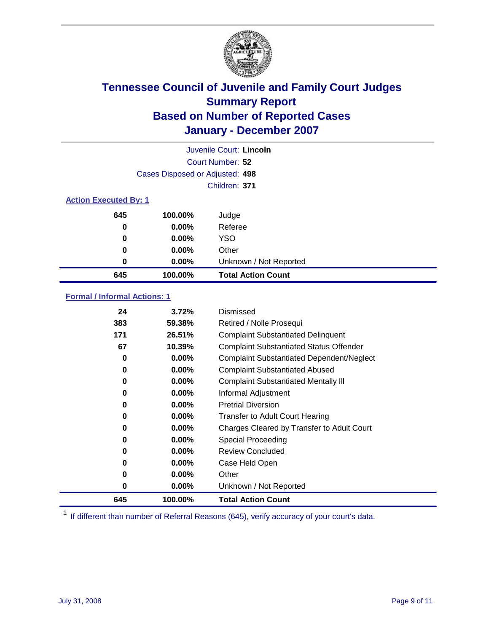

|                              |                                 | Juvenile Court: Lincoln   |  |
|------------------------------|---------------------------------|---------------------------|--|
| Court Number: 52             |                                 |                           |  |
|                              | Cases Disposed or Adjusted: 498 |                           |  |
|                              |                                 | Children: 371             |  |
| <b>Action Executed By: 1</b> |                                 |                           |  |
| 645                          | 100.00%                         | Judge                     |  |
| 0                            | $0.00\%$                        | Referee                   |  |
| 0                            | $0.00\%$                        | <b>YSO</b>                |  |
| 0                            | $0.00\%$                        | Other                     |  |
| 0                            | $0.00\%$                        | Unknown / Not Reported    |  |
| 645                          | 100.00%                         | <b>Total Action Count</b> |  |

### **Formal / Informal Actions: 1**

| 24  | 3.72%    | Dismissed                                        |
|-----|----------|--------------------------------------------------|
| 383 | 59.38%   | Retired / Nolle Prosequi                         |
| 171 | 26.51%   | <b>Complaint Substantiated Delinquent</b>        |
| 67  | 10.39%   | <b>Complaint Substantiated Status Offender</b>   |
| 0   | 0.00%    | <b>Complaint Substantiated Dependent/Neglect</b> |
| 0   | $0.00\%$ | <b>Complaint Substantiated Abused</b>            |
| 0   | $0.00\%$ | <b>Complaint Substantiated Mentally III</b>      |
| 0   | $0.00\%$ | Informal Adjustment                              |
| 0   | $0.00\%$ | <b>Pretrial Diversion</b>                        |
| 0   | $0.00\%$ | <b>Transfer to Adult Court Hearing</b>           |
| 0   | $0.00\%$ | Charges Cleared by Transfer to Adult Court       |
| 0   | $0.00\%$ | Special Proceeding                               |
| 0   | $0.00\%$ | <b>Review Concluded</b>                          |
| 0   | $0.00\%$ | Case Held Open                                   |
| 0   | $0.00\%$ | Other                                            |
| 0   | $0.00\%$ | Unknown / Not Reported                           |
| 645 | 100.00%  | <b>Total Action Count</b>                        |

<sup>1</sup> If different than number of Referral Reasons (645), verify accuracy of your court's data.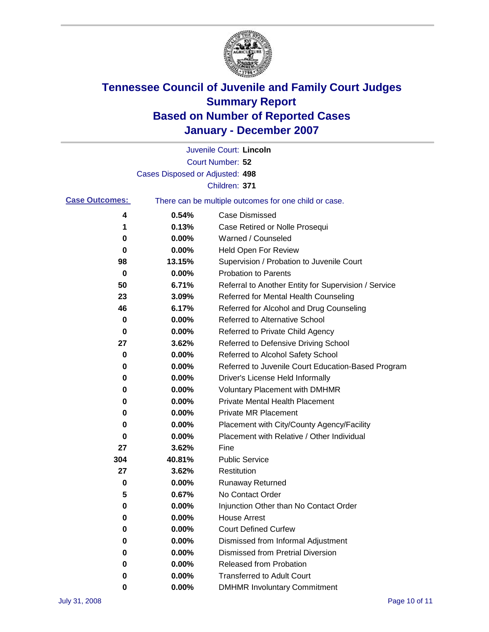

|                       |                                 | Juvenile Court: Lincoln                               |
|-----------------------|---------------------------------|-------------------------------------------------------|
|                       |                                 | Court Number: 52                                      |
|                       | Cases Disposed or Adjusted: 498 |                                                       |
|                       |                                 | Children: 371                                         |
| <b>Case Outcomes:</b> |                                 | There can be multiple outcomes for one child or case. |
| 4                     | 0.54%                           | <b>Case Dismissed</b>                                 |
| 1                     | 0.13%                           | Case Retired or Nolle Prosequi                        |
| 0                     | 0.00%                           | Warned / Counseled                                    |
| 0                     | 0.00%                           | Held Open For Review                                  |
| 98                    | 13.15%                          | Supervision / Probation to Juvenile Court             |
| 0                     | 0.00%                           | <b>Probation to Parents</b>                           |
| 50                    | 6.71%                           | Referral to Another Entity for Supervision / Service  |
| 23                    | 3.09%                           | Referred for Mental Health Counseling                 |
| 46                    | 6.17%                           | Referred for Alcohol and Drug Counseling              |
| 0                     | 0.00%                           | <b>Referred to Alternative School</b>                 |
| 0                     | 0.00%                           | Referred to Private Child Agency                      |
| 27                    | 3.62%                           | Referred to Defensive Driving School                  |
| 0                     | 0.00%                           | Referred to Alcohol Safety School                     |
| 0                     | 0.00%                           | Referred to Juvenile Court Education-Based Program    |
| 0                     | 0.00%                           | Driver's License Held Informally                      |
| 0                     | 0.00%                           | <b>Voluntary Placement with DMHMR</b>                 |
| 0                     | 0.00%                           | <b>Private Mental Health Placement</b>                |
| 0                     | 0.00%                           | <b>Private MR Placement</b>                           |
| 0                     | 0.00%                           | Placement with City/County Agency/Facility            |
| 0                     | 0.00%                           | Placement with Relative / Other Individual            |
| 27                    | 3.62%                           | Fine                                                  |
| 304                   | 40.81%                          | <b>Public Service</b>                                 |
| 27                    | 3.62%                           | Restitution                                           |
| 0                     | 0.00%                           | <b>Runaway Returned</b>                               |
| 5                     | 0.67%                           | No Contact Order                                      |
| 0                     | 0.00%                           | Injunction Other than No Contact Order                |
| 0                     | 0.00%                           | <b>House Arrest</b>                                   |
| 0                     | 0.00%                           | <b>Court Defined Curfew</b>                           |
| 0                     | 0.00%                           | Dismissed from Informal Adjustment                    |
| 0                     | 0.00%                           | <b>Dismissed from Pretrial Diversion</b>              |
| 0                     | 0.00%                           | <b>Released from Probation</b>                        |
| 0                     | 0.00%                           | <b>Transferred to Adult Court</b>                     |
| 0                     | 0.00%                           | <b>DMHMR Involuntary Commitment</b>                   |